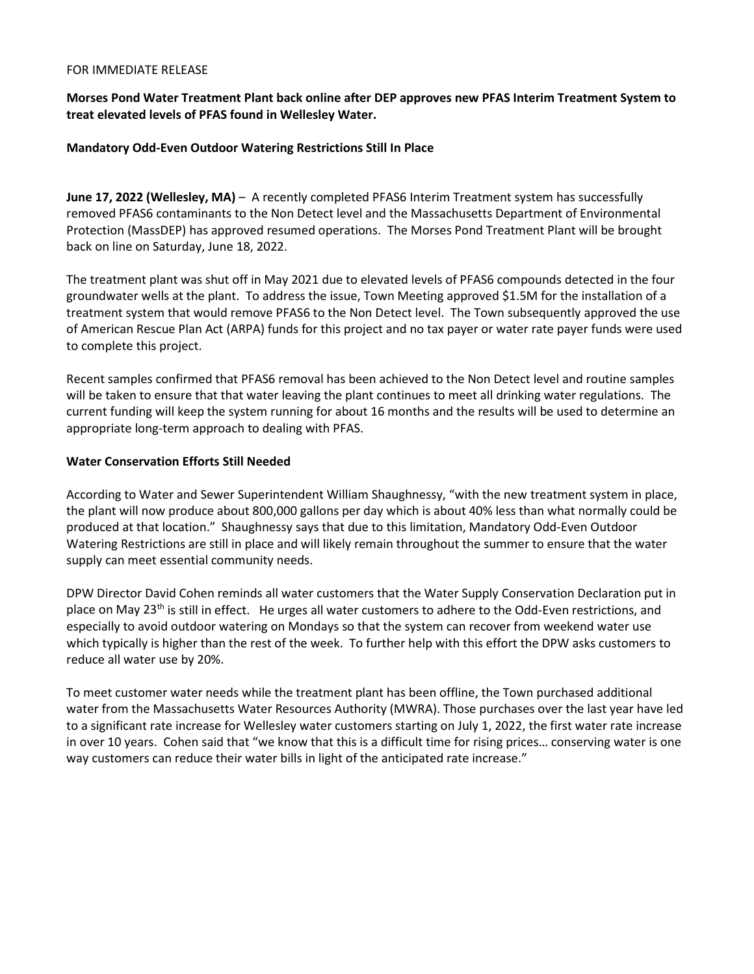#### FOR IMMEDIATE RELEASE

## **Morses Pond Water Treatment Plant back online after DEP approves new PFAS Interim Treatment System to treat elevated levels of PFAS found in Wellesley Water.**

## **Mandatory Odd-Even Outdoor Watering Restrictions Still In Place**

**June 17, 2022 (Wellesley, MA)** – A recently completed PFAS6 Interim Treatment system has successfully removed PFAS6 contaminants to the Non Detect level and the Massachusetts Department of Environmental Protection (MassDEP) has approved resumed operations. The Morses Pond Treatment Plant will be brought back on line on Saturday, June 18, 2022.

The treatment plant was shut off in May 2021 due to elevated levels of PFAS6 compounds detected in the four groundwater wells at the plant. To address the issue, Town Meeting approved \$1.5M for the installation of a treatment system that would remove PFAS6 to the Non Detect level. The Town subsequently approved the use of American Rescue Plan Act (ARPA) funds for this project and no tax payer or water rate payer funds were used to complete this project.

Recent samples confirmed that PFAS6 removal has been achieved to the Non Detect level and routine samples will be taken to ensure that that water leaving the plant continues to meet all drinking water regulations. The current funding will keep the system running for about 16 months and the results will be used to determine an appropriate long-term approach to dealing with PFAS.

#### **Water Conservation Efforts Still Needed**

According to Water and Sewer Superintendent William Shaughnessy, "with the new treatment system in place, the plant will now produce about 800,000 gallons per day which is about 40% less than what normally could be produced at that location." Shaughnessy says that due to this limitation, Mandatory Odd-Even Outdoor Watering Restrictions are still in place and will likely remain throughout the summer to ensure that the water supply can meet essential community needs.

DPW Director David Cohen reminds all water customers that the Water Supply Conservation Declaration put in place on May 23th is still in effect. He urges all water customers to adhere to the Odd-Even restrictions, and especially to avoid outdoor watering on Mondays so that the system can recover from weekend water use which typically is higher than the rest of the week. To further help with this effort the DPW asks customers to reduce all water use by 20%.

To meet customer water needs while the treatment plant has been offline, the Town purchased additional water from the Massachusetts Water Resources Authority (MWRA). Those purchases over the last year have led to a significant rate increase for Wellesley water customers starting on July 1, 2022, the first water rate increase in over 10 years. Cohen said that "we know that this is a difficult time for rising prices… conserving water is one way customers can reduce their water bills in light of the anticipated rate increase."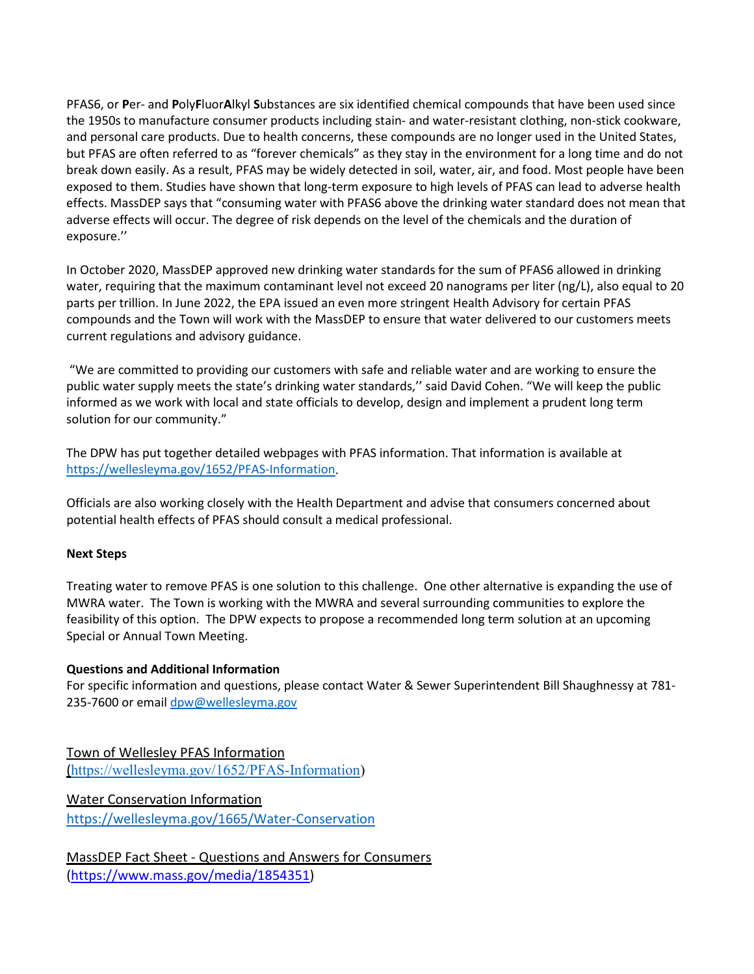PFAS6, or **P**er- and **P**oly**F**luor**A**lkyl **S**ubstances are six identified chemical compounds that have been used since the 1950s to manufacture consumer products including stain- and water-resistant clothing, non-stick cookware, and personal care products. Due to health concerns, these compounds are no longer used in the United States, but PFAS are often referred to as "forever chemicals" as they stay in the environment for a long time and do not break down easily. As a result, PFAS may be widely detected in soil, water, air, and food. Most people have been exposed to them. Studies have shown that long-term exposure to high levels of PFAS can lead to adverse health effects. MassDEP says that "consuming water with PFAS6 above the drinking water standard does not mean that adverse effects will occur. The degree of risk depends on the level of the chemicals and the duration of exposure.''

In October 2020, MassDEP approved new drinking water standards for the sum of PFAS6 allowed in drinking water, requiring that the maximum contaminant level not exceed 20 nanograms per liter (ng/L), also equal to 20 parts per trillion. In June 2022, the EPA issued an even more stringent Health Advisory for certain PFAS compounds and the Town will work with the MassDEP to ensure that water delivered to our customers meets current regulations and advisory guidance.

"We are committed to providing our customers with safe and reliable water and are working to ensure the public water supply meets the state's drinking water standards,'' said David Cohen. "We will keep the public informed as we work with local and state officials to develop, design and implement a prudent long term solution for our community."

The DPW has put together detailed webpages with PFAS information. That information is available at [https://wellesleyma.gov/1652/PFAS-Information.](https://wellesleyma.gov/1652/PFAS-Information)

Officials are also working closely with the Health Department and advise that consumers concerned about potential health effects of PFAS should consult a medical professional.

## **Next Steps**

Treating water to remove PFAS is one solution to this challenge. One other alternative is expanding the use of MWRA water. The Town is working with the MWRA and several surrounding communities to explore the feasibility of this option. The DPW expects to propose a recommended long term solution at an upcoming Special or Annual Town Meeting.

## **Questions and Additional Information**

For specific information and questions, please contact Water & Sewer Superintendent Bill Shaughnessy at 781 235-7600 or email [dpw@wellesleyma.gov](mailto:dpw@wellesleyma.gov)

Town of Wellesley PFAS Information ([https://wellesleyma.gov/1652/PFAS-Information\)](https://wellesleyma.gov/1652/PFAS-Information)

Water Conservation Information <https://wellesleyma.gov/1665/Water-Conservation>

MassDEP Fact Sheet - Questions and Answers for Consumers [\(https://www.mass.gov/media/1854351\)](https://www.mass.gov/media/1854351)